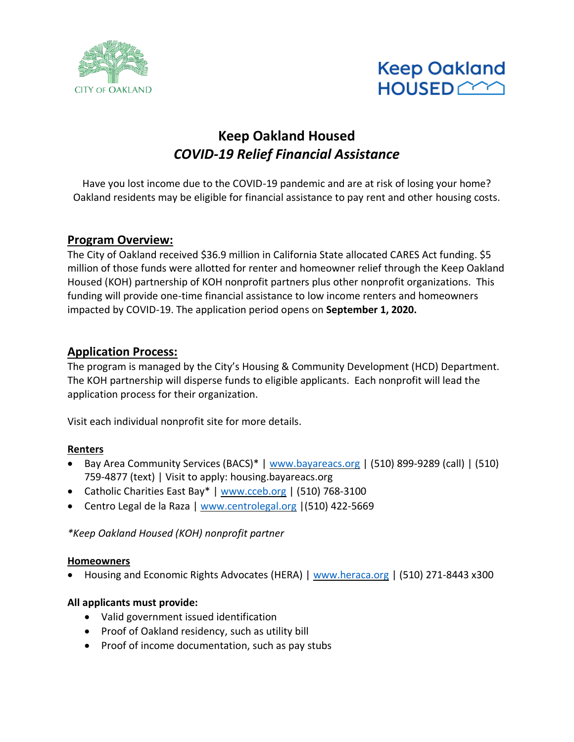



# **Keep Oakland Housed** *COVID-19 Relief Financial Assistance*

Have you lost income due to the COVID-19 pandemic and are at risk of losing your home? Oakland residents may be eligible for financial assistance to pay rent and other housing costs.

## **Program Overview:**

The City of Oakland received \$36.9 million in California State allocated CARES Act funding. \$5 million of those funds were allotted for renter and homeowner relief through the Keep Oakland Housed (KOH) partnership of KOH nonprofit partners plus other nonprofit organizations. This funding will provide one-time financial assistance to low income renters and homeowners impacted by COVID-19. The application period opens on **September 1, 2020.** 

## **Application Process:**

The program is managed by the City's Housing & Community Development (HCD) Department. The KOH partnership will disperse funds to eligible applicants. Each nonprofit will lead the application process for their organization.

Visit each individual nonprofit site for more details.

#### **Renters**

- Bay Area Community Services (BACS)\* | [www.bayareacs.org](http://www.bayareacs.org/) | (510) 899-9289 (call) | (510) 759-4877 (text) | Visit to apply: housing.bayareacs.org
- Catholic Charities East Bay\* | [www.cceb.org](http://www.cceb.org/) | (510) 768-3100
- Centro Legal de la Raza [| www.centrolegal.org](http://www.centrolegal.org/) |(510) 422-5669

*\*Keep Oakland Housed (KOH) nonprofit partner*

#### **Homeowners**

• Housing and Economic Rights Advocates (HERA) | [www.heraca.org](http://www.heraca.org/) | (510) 271-8443 x300

## **All applicants must provide:**

- Valid government issued identification
- Proof of Oakland residency, such as utility bill
- Proof of income documentation, such as pay stubs